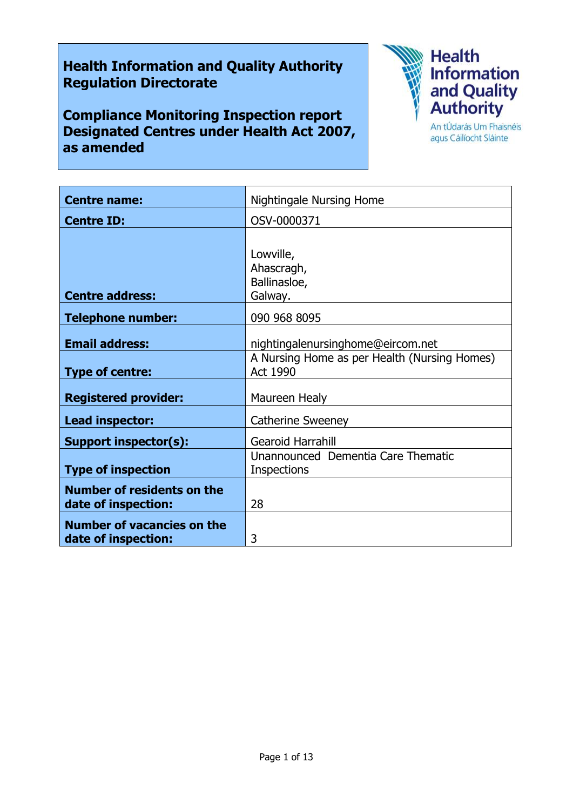# **Health Information and Quality Authority Regulation Directorate**

**Compliance Monitoring Inspection report Designated Centres under Health Act 2007, as amended**



agus Cáilíocht Sláinte

| <b>Centre name:</b>                                      | <b>Nightingale Nursing Home</b>                                 |
|----------------------------------------------------------|-----------------------------------------------------------------|
| <b>Centre ID:</b>                                        | OSV-0000371                                                     |
|                                                          | Lowville,                                                       |
|                                                          | Ahascragh,                                                      |
| <b>Centre address:</b>                                   | Ballinasloe,<br>Galway.                                         |
| <b>Telephone number:</b>                                 | 090 968 8095                                                    |
| <b>Email address:</b>                                    | nightingalenursinghome@eircom.net                               |
| <b>Type of centre:</b>                                   | A Nursing Home as per Health (Nursing Homes)<br><b>Act 1990</b> |
| <b>Registered provider:</b>                              | Maureen Healy                                                   |
| Lead inspector:                                          | <b>Catherine Sweeney</b>                                        |
| <b>Support inspector(s):</b>                             | Gearoid Harrahill                                               |
| <b>Type of inspection</b>                                | Unannounced Dementia Care Thematic<br><b>Inspections</b>        |
| <b>Number of residents on the</b><br>date of inspection: | 28                                                              |
| <b>Number of vacancies on the</b><br>date of inspection: | 3                                                               |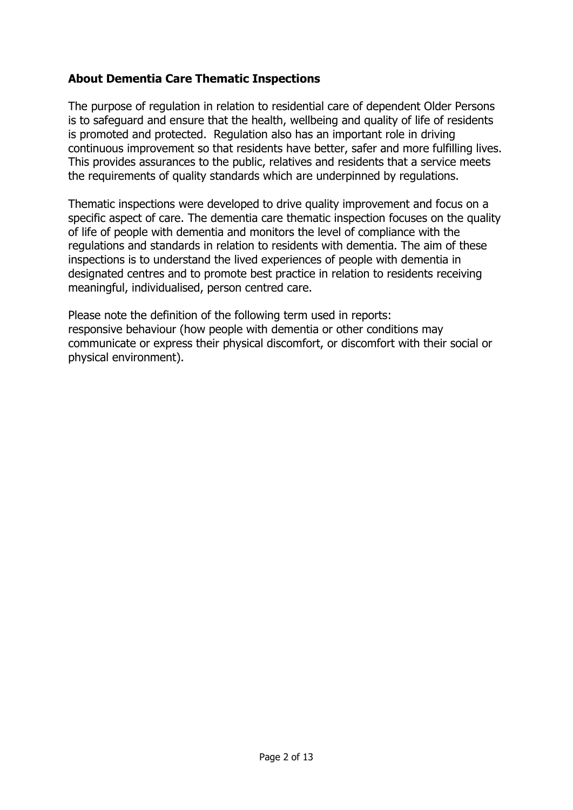# **About Dementia Care Thematic Inspections**

The purpose of regulation in relation to residential care of dependent Older Persons is to safeguard and ensure that the health, wellbeing and quality of life of residents is promoted and protected. Regulation also has an important role in driving continuous improvement so that residents have better, safer and more fulfilling lives. This provides assurances to the public, relatives and residents that a service meets the requirements of quality standards which are underpinned by regulations.

Thematic inspections were developed to drive quality improvement and focus on a specific aspect of care. The dementia care thematic inspection focuses on the quality of life of people with dementia and monitors the level of compliance with the regulations and standards in relation to residents with dementia. The aim of these inspections is to understand the lived experiences of people with dementia in designated centres and to promote best practice in relation to residents receiving meaningful, individualised, person centred care.

Please note the definition of the following term used in reports: responsive behaviour (how people with dementia or other conditions may communicate or express their physical discomfort, or discomfort with their social or physical environment).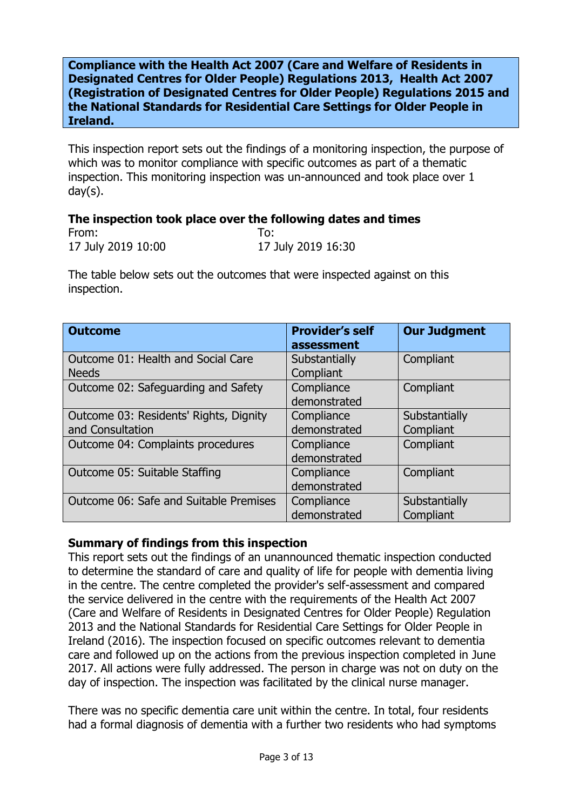**Compliance with the Health Act 2007 (Care and Welfare of Residents in Designated Centres for Older People) Regulations 2013, Health Act 2007 (Registration of Designated Centres for Older People) Regulations 2015 and the National Standards for Residential Care Settings for Older People in Ireland.**

This inspection report sets out the findings of a monitoring inspection, the purpose of which was to monitor compliance with specific outcomes as part of a thematic inspection. This monitoring inspection was un-announced and took place over 1 day(s).

#### **The inspection took place over the following dates and times**

| From:              | To:                |
|--------------------|--------------------|
| 17 July 2019 10:00 | 17 July 2019 16:30 |

The table below sets out the outcomes that were inspected against on this inspection.

| <b>Outcome</b>                                             | <b>Provider's self</b><br>assessment | <b>Our Judgment</b>        |
|------------------------------------------------------------|--------------------------------------|----------------------------|
| Outcome 01: Health and Social Care<br><b>Needs</b>         | Substantially<br>Compliant           | Compliant                  |
| Outcome 02: Safeguarding and Safety                        | Compliance<br>demonstrated           | Compliant                  |
| Outcome 03: Residents' Rights, Dignity<br>and Consultation | Compliance<br>demonstrated           | Substantially<br>Compliant |
| Outcome 04: Complaints procedures                          | Compliance<br>demonstrated           | Compliant                  |
| Outcome 05: Suitable Staffing                              | Compliance<br>demonstrated           | Compliant                  |
| Outcome 06: Safe and Suitable Premises                     | Compliance<br>demonstrated           | Substantially<br>Compliant |

## **Summary of findings from this inspection**

This report sets out the findings of an unannounced thematic inspection conducted to determine the standard of care and quality of life for people with dementia living in the centre. The centre completed the provider's self-assessment and compared the service delivered in the centre with the requirements of the Health Act 2007 (Care and Welfare of Residents in Designated Centres for Older People) Regulation 2013 and the National Standards for Residential Care Settings for Older People in Ireland (2016). The inspection focused on specific outcomes relevant to dementia care and followed up on the actions from the previous inspection completed in June 2017. All actions were fully addressed. The person in charge was not on duty on the day of inspection. The inspection was facilitated by the clinical nurse manager.

There was no specific dementia care unit within the centre. In total, four residents had a formal diagnosis of dementia with a further two residents who had symptoms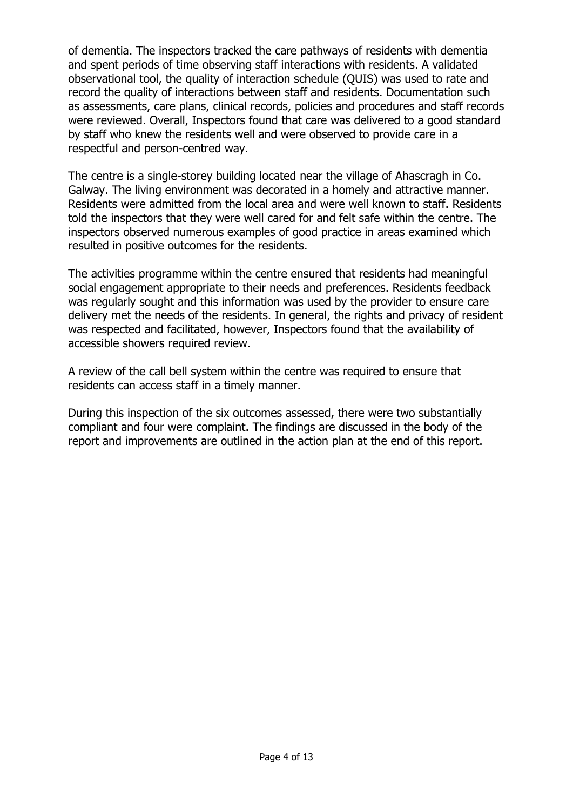of dementia. The inspectors tracked the care pathways of residents with dementia and spent periods of time observing staff interactions with residents. A validated observational tool, the quality of interaction schedule (QUIS) was used to rate and record the quality of interactions between staff and residents. Documentation such as assessments, care plans, clinical records, policies and procedures and staff records were reviewed. Overall, Inspectors found that care was delivered to a good standard by staff who knew the residents well and were observed to provide care in a respectful and person-centred way.

The centre is a single-storey building located near the village of Ahascragh in Co. Galway. The living environment was decorated in a homely and attractive manner. Residents were admitted from the local area and were well known to staff. Residents told the inspectors that they were well cared for and felt safe within the centre. The inspectors observed numerous examples of good practice in areas examined which resulted in positive outcomes for the residents.

The activities programme within the centre ensured that residents had meaningful social engagement appropriate to their needs and preferences. Residents feedback was regularly sought and this information was used by the provider to ensure care delivery met the needs of the residents. In general, the rights and privacy of resident was respected and facilitated, however, Inspectors found that the availability of accessible showers required review.

A review of the call bell system within the centre was required to ensure that residents can access staff in a timely manner.

During this inspection of the six outcomes assessed, there were two substantially compliant and four were complaint. The findings are discussed in the body of the report and improvements are outlined in the action plan at the end of this report.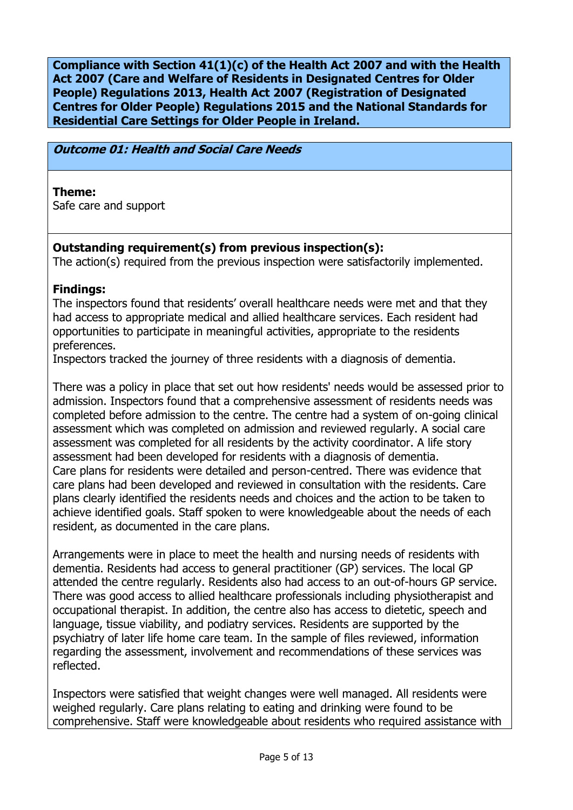**Compliance with Section 41(1)(c) of the Health Act 2007 and with the Health Act 2007 (Care and Welfare of Residents in Designated Centres for Older People) Regulations 2013, Health Act 2007 (Registration of Designated Centres for Older People) Regulations 2015 and the National Standards for Residential Care Settings for Older People in Ireland.**

## **Outcome 01: Health and Social Care Needs**

#### **Theme:**

Safe care and support

# **Outstanding requirement(s) from previous inspection(s):**

The action(s) required from the previous inspection were satisfactorily implemented.

## **Findings:**

The inspectors found that residents' overall healthcare needs were met and that they had access to appropriate medical and allied healthcare services. Each resident had opportunities to participate in meaningful activities, appropriate to the residents preferences.

Inspectors tracked the journey of three residents with a diagnosis of dementia.

There was a policy in place that set out how residents' needs would be assessed prior to admission. Inspectors found that a comprehensive assessment of residents needs was completed before admission to the centre. The centre had a system of on-going clinical assessment which was completed on admission and reviewed regularly. A social care assessment was completed for all residents by the activity coordinator. A life story assessment had been developed for residents with a diagnosis of dementia. Care plans for residents were detailed and person-centred. There was evidence that care plans had been developed and reviewed in consultation with the residents. Care plans clearly identified the residents needs and choices and the action to be taken to achieve identified goals. Staff spoken to were knowledgeable about the needs of each resident, as documented in the care plans.

Arrangements were in place to meet the health and nursing needs of residents with dementia. Residents had access to general practitioner (GP) services. The local GP attended the centre regularly. Residents also had access to an out-of-hours GP service. There was good access to allied healthcare professionals including physiotherapist and occupational therapist. In addition, the centre also has access to dietetic, speech and language, tissue viability, and podiatry services. Residents are supported by the psychiatry of later life home care team. In the sample of files reviewed, information regarding the assessment, involvement and recommendations of these services was reflected.

Inspectors were satisfied that weight changes were well managed. All residents were weighed regularly. Care plans relating to eating and drinking were found to be comprehensive. Staff were knowledgeable about residents who required assistance with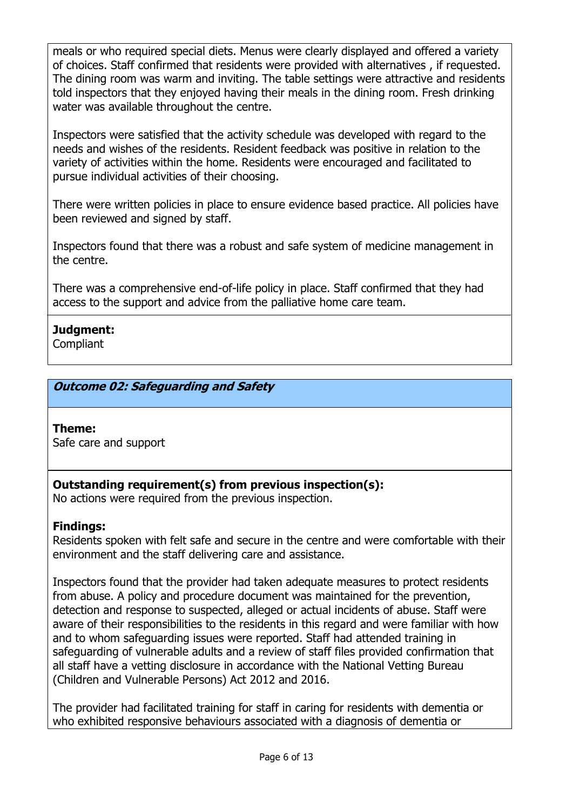meals or who required special diets. Menus were clearly displayed and offered a variety of choices. Staff confirmed that residents were provided with alternatives , if requested. The dining room was warm and inviting. The table settings were attractive and residents told inspectors that they enjoyed having their meals in the dining room. Fresh drinking water was available throughout the centre.

Inspectors were satisfied that the activity schedule was developed with regard to the needs and wishes of the residents. Resident feedback was positive in relation to the variety of activities within the home. Residents were encouraged and facilitated to pursue individual activities of their choosing.

There were written policies in place to ensure evidence based practice. All policies have been reviewed and signed by staff.

Inspectors found that there was a robust and safe system of medicine management in the centre.

There was a comprehensive end-of-life policy in place. Staff confirmed that they had access to the support and advice from the palliative home care team.

# **Judgment:**

**Compliant** 

# **Outcome 02: Safeguarding and Safety**

## **Theme:**

Safe care and support

# **Outstanding requirement(s) from previous inspection(s):**

No actions were required from the previous inspection.

## **Findings:**

Residents spoken with felt safe and secure in the centre and were comfortable with their environment and the staff delivering care and assistance.

Inspectors found that the provider had taken adequate measures to protect residents from abuse. A policy and procedure document was maintained for the prevention, detection and response to suspected, alleged or actual incidents of abuse. Staff were aware of their responsibilities to the residents in this regard and were familiar with how and to whom safeguarding issues were reported. Staff had attended training in safeguarding of vulnerable adults and a review of staff files provided confirmation that all staff have a vetting disclosure in accordance with the National Vetting Bureau (Children and Vulnerable Persons) Act 2012 and 2016.

The provider had facilitated training for staff in caring for residents with dementia or who exhibited responsive behaviours associated with a diagnosis of dementia or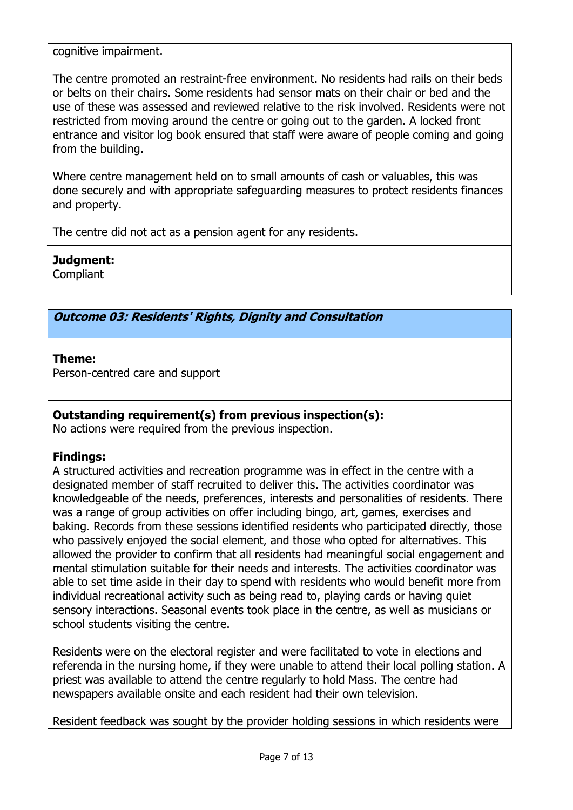cognitive impairment.

The centre promoted an restraint-free environment. No residents had rails on their beds or belts on their chairs. Some residents had sensor mats on their chair or bed and the use of these was assessed and reviewed relative to the risk involved. Residents were not restricted from moving around the centre or going out to the garden. A locked front entrance and visitor log book ensured that staff were aware of people coming and going from the building.

Where centre management held on to small amounts of cash or valuables, this was done securely and with appropriate safeguarding measures to protect residents finances and property.

The centre did not act as a pension agent for any residents.

# **Judgment:**

**Compliant** 

# **Outcome 03: Residents' Rights, Dignity and Consultation**

## **Theme:**

Person-centred care and support

# **Outstanding requirement(s) from previous inspection(s):**

No actions were required from the previous inspection.

# **Findings:**

A structured activities and recreation programme was in effect in the centre with a designated member of staff recruited to deliver this. The activities coordinator was knowledgeable of the needs, preferences, interests and personalities of residents. There was a range of group activities on offer including bingo, art, games, exercises and baking. Records from these sessions identified residents who participated directly, those who passively enjoyed the social element, and those who opted for alternatives. This allowed the provider to confirm that all residents had meaningful social engagement and mental stimulation suitable for their needs and interests. The activities coordinator was able to set time aside in their day to spend with residents who would benefit more from individual recreational activity such as being read to, playing cards or having quiet sensory interactions. Seasonal events took place in the centre, as well as musicians or school students visiting the centre.

Residents were on the electoral register and were facilitated to vote in elections and referenda in the nursing home, if they were unable to attend their local polling station. A priest was available to attend the centre regularly to hold Mass. The centre had newspapers available onsite and each resident had their own television.

Resident feedback was sought by the provider holding sessions in which residents were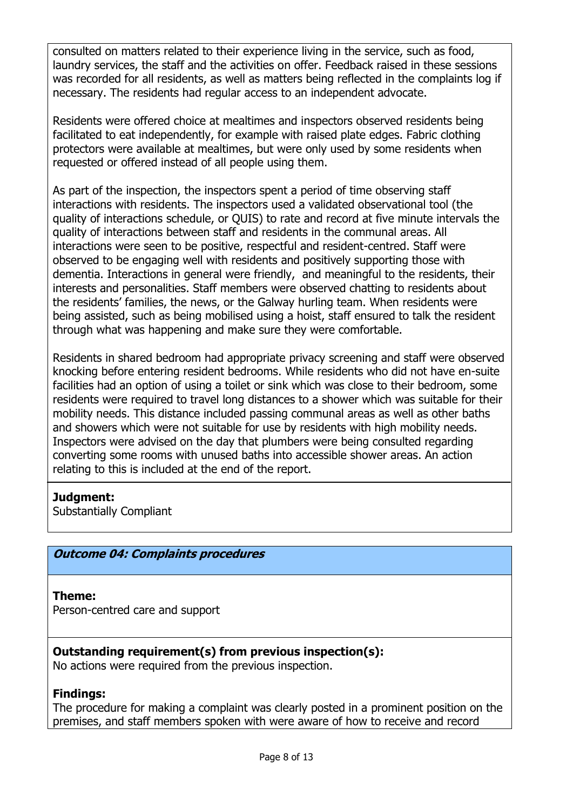consulted on matters related to their experience living in the service, such as food, laundry services, the staff and the activities on offer. Feedback raised in these sessions was recorded for all residents, as well as matters being reflected in the complaints log if necessary. The residents had regular access to an independent advocate.

Residents were offered choice at mealtimes and inspectors observed residents being facilitated to eat independently, for example with raised plate edges. Fabric clothing protectors were available at mealtimes, but were only used by some residents when requested or offered instead of all people using them.

As part of the inspection, the inspectors spent a period of time observing staff interactions with residents. The inspectors used a validated observational tool (the quality of interactions schedule, or QUIS) to rate and record at five minute intervals the quality of interactions between staff and residents in the communal areas. All interactions were seen to be positive, respectful and resident-centred. Staff were observed to be engaging well with residents and positively supporting those with dementia. Interactions in general were friendly, and meaningful to the residents, their interests and personalities. Staff members were observed chatting to residents about the residents' families, the news, or the Galway hurling team. When residents were being assisted, such as being mobilised using a hoist, staff ensured to talk the resident through what was happening and make sure they were comfortable.

Residents in shared bedroom had appropriate privacy screening and staff were observed knocking before entering resident bedrooms. While residents who did not have en-suite facilities had an option of using a toilet or sink which was close to their bedroom, some residents were required to travel long distances to a shower which was suitable for their mobility needs. This distance included passing communal areas as well as other baths and showers which were not suitable for use by residents with high mobility needs. Inspectors were advised on the day that plumbers were being consulted regarding converting some rooms with unused baths into accessible shower areas. An action relating to this is included at the end of the report.

## **Judgment:**

Substantially Compliant

# **Outcome 04: Complaints procedures**

## **Theme:**

Person-centred care and support

# **Outstanding requirement(s) from previous inspection(s):**

No actions were required from the previous inspection.

## **Findings:**

The procedure for making a complaint was clearly posted in a prominent position on the premises, and staff members spoken with were aware of how to receive and record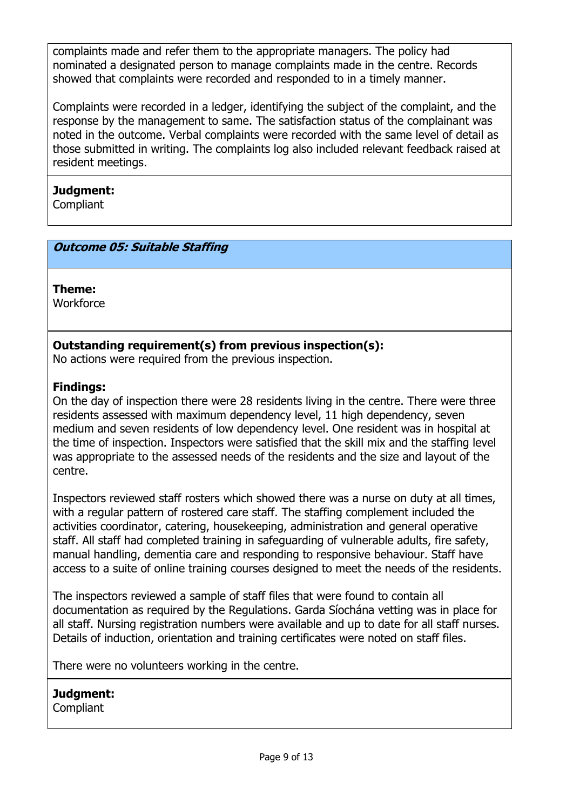complaints made and refer them to the appropriate managers. The policy had nominated a designated person to manage complaints made in the centre. Records showed that complaints were recorded and responded to in a timely manner.

Complaints were recorded in a ledger, identifying the subject of the complaint, and the response by the management to same. The satisfaction status of the complainant was noted in the outcome. Verbal complaints were recorded with the same level of detail as those submitted in writing. The complaints log also included relevant feedback raised at resident meetings.

## **Judgment:**

**Compliant** 

# **Outcome 05: Suitable Staffing**

**Theme:** 

**Workforce** 

## **Outstanding requirement(s) from previous inspection(s):**

No actions were required from the previous inspection.

## **Findings:**

On the day of inspection there were 28 residents living in the centre. There were three residents assessed with maximum dependency level, 11 high dependency, seven medium and seven residents of low dependency level. One resident was in hospital at the time of inspection. Inspectors were satisfied that the skill mix and the staffing level was appropriate to the assessed needs of the residents and the size and layout of the centre.

Inspectors reviewed staff rosters which showed there was a nurse on duty at all times, with a regular pattern of rostered care staff. The staffing complement included the activities coordinator, catering, housekeeping, administration and general operative staff. All staff had completed training in safeguarding of vulnerable adults, fire safety, manual handling, dementia care and responding to responsive behaviour. Staff have access to a suite of online training courses designed to meet the needs of the residents.

The inspectors reviewed a sample of staff files that were found to contain all documentation as required by the Regulations. Garda Síochána vetting was in place for all staff. Nursing registration numbers were available and up to date for all staff nurses. Details of induction, orientation and training certificates were noted on staff files.

There were no volunteers working in the centre.

# **Judgment:**

**Compliant**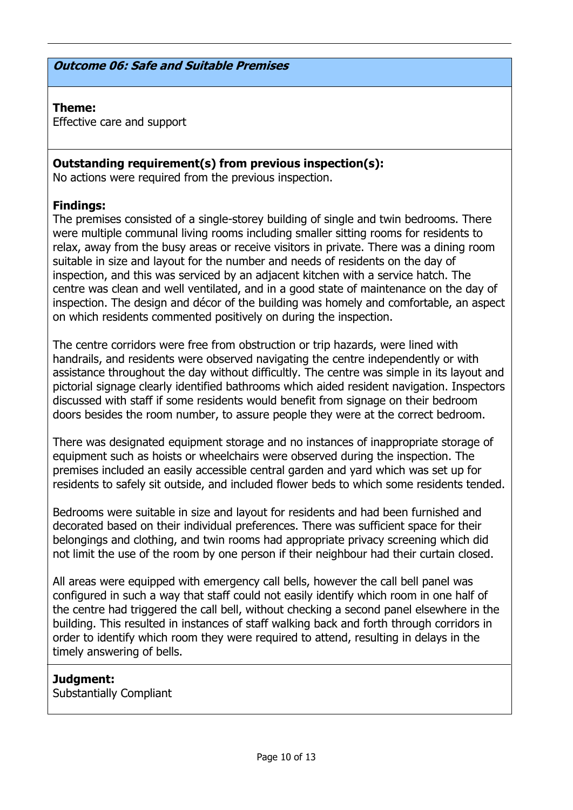### **Outcome 06: Safe and Suitable Premises**

#### **Theme:**

Effective care and support

## **Outstanding requirement(s) from previous inspection(s):**

No actions were required from the previous inspection.

### **Findings:**

The premises consisted of a single-storey building of single and twin bedrooms. There were multiple communal living rooms including smaller sitting rooms for residents to relax, away from the busy areas or receive visitors in private. There was a dining room suitable in size and layout for the number and needs of residents on the day of inspection, and this was serviced by an adjacent kitchen with a service hatch. The centre was clean and well ventilated, and in a good state of maintenance on the day of inspection. The design and décor of the building was homely and comfortable, an aspect on which residents commented positively on during the inspection.

The centre corridors were free from obstruction or trip hazards, were lined with handrails, and residents were observed navigating the centre independently or with assistance throughout the day without difficultly. The centre was simple in its layout and pictorial signage clearly identified bathrooms which aided resident navigation. Inspectors discussed with staff if some residents would benefit from signage on their bedroom doors besides the room number, to assure people they were at the correct bedroom.

There was designated equipment storage and no instances of inappropriate storage of equipment such as hoists or wheelchairs were observed during the inspection. The premises included an easily accessible central garden and yard which was set up for residents to safely sit outside, and included flower beds to which some residents tended.

Bedrooms were suitable in size and layout for residents and had been furnished and decorated based on their individual preferences. There was sufficient space for their belongings and clothing, and twin rooms had appropriate privacy screening which did not limit the use of the room by one person if their neighbour had their curtain closed.

All areas were equipped with emergency call bells, however the call bell panel was configured in such a way that staff could not easily identify which room in one half of the centre had triggered the call bell, without checking a second panel elsewhere in the building. This resulted in instances of staff walking back and forth through corridors in order to identify which room they were required to attend, resulting in delays in the timely answering of bells.

## **Judgment:**

Substantially Compliant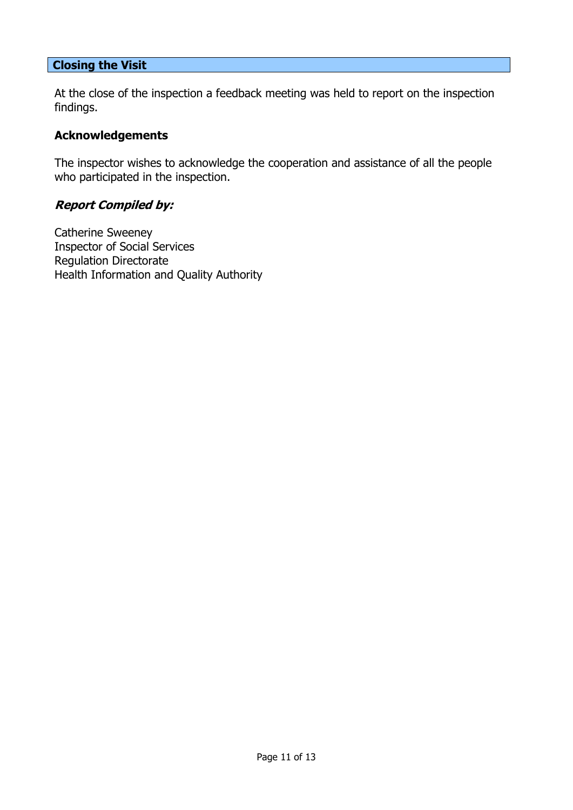## **Closing the Visit**

At the close of the inspection a feedback meeting was held to report on the inspection findings.

## **Acknowledgements**

The inspector wishes to acknowledge the cooperation and assistance of all the people who participated in the inspection.

## **Report Compiled by:**

Catherine Sweeney Inspector of Social Services Regulation Directorate Health Information and Quality Authority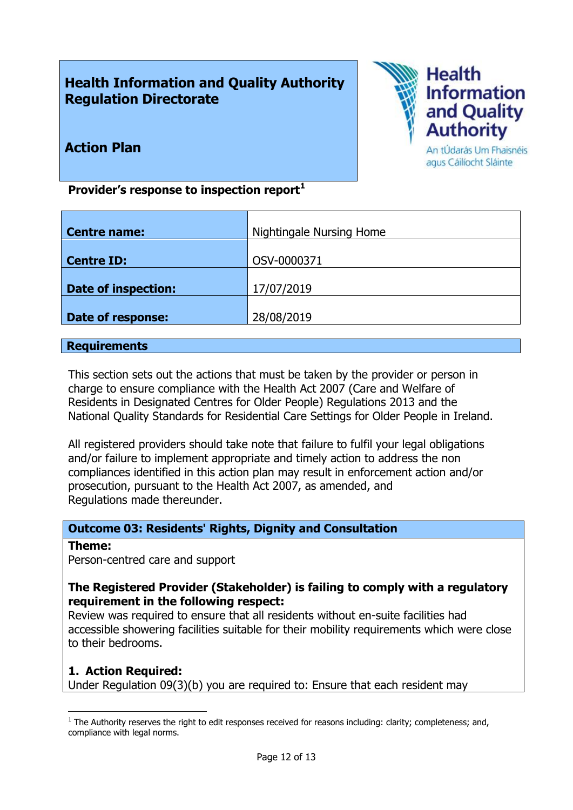# **Health Information and Quality Authority Regulation Directorate**



**Action Plan**

An tÚdarás Um Fhaisnéis agus Cáilíocht Sláinte

**Provider's response to inspection report<sup>1</sup>**

| <b>Centre name:</b>        | <b>Nightingale Nursing Home</b> |
|----------------------------|---------------------------------|
| <b>Centre ID:</b>          | OSV-0000371                     |
| <b>Date of inspection:</b> | 17/07/2019                      |
| Date of response:          | 28/08/2019                      |

#### **Requirements**

This section sets out the actions that must be taken by the provider or person in charge to ensure compliance with the Health Act 2007 (Care and Welfare of Residents in Designated Centres for Older People) Regulations 2013 and the National Quality Standards for Residential Care Settings for Older People in Ireland.

All registered providers should take note that failure to fulfil your legal obligations and/or failure to implement appropriate and timely action to address the non compliances identified in this action plan may result in enforcement action and/or prosecution, pursuant to the Health Act 2007, as amended, and Regulations made thereunder.

# **Outcome 03: Residents' Rights, Dignity and Consultation**

#### **Theme:**

 $\overline{a}$ 

Person-centred care and support

## **The Registered Provider (Stakeholder) is failing to comply with a regulatory requirement in the following respect:**

Review was required to ensure that all residents without en-suite facilities had accessible showering facilities suitable for their mobility requirements which were close to their bedrooms.

## **1. Action Required:**

Under Regulation 09(3)(b) you are required to: Ensure that each resident may

 $<sup>1</sup>$  The Authority reserves the right to edit responses received for reasons including: clarity; completeness; and,</sup> compliance with legal norms.